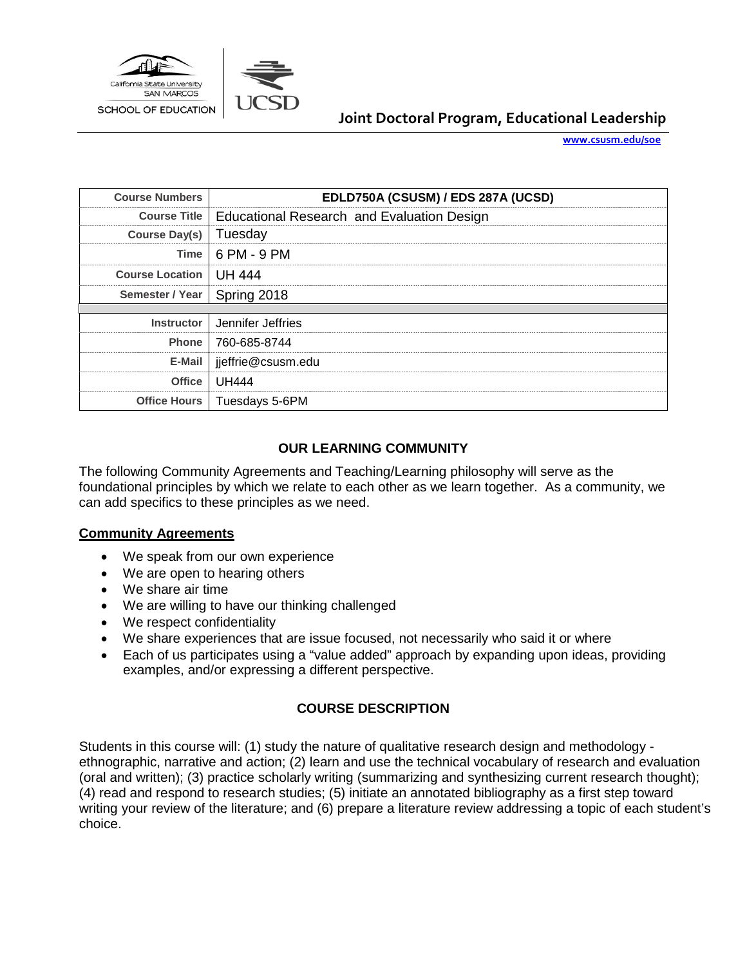

# **Joint Doctoral Program, Educational Leadership**

**[www.csusm.edu/soe](http://www.csusm.edu/soe)**

| <b>Course Numbers</b>         | EDLD750A (CSUSM) / EDS 287A (UCSD)                        |  |
|-------------------------------|-----------------------------------------------------------|--|
|                               | Course Title   Educational Research and Evaluation Design |  |
| Course Day(s)   Tuesday       |                                                           |  |
|                               | $Time \mid 6 PM - 9 PM$                                   |  |
| Course Location   UH 444      |                                                           |  |
| Semester / Year   Spring 2018 |                                                           |  |
|                               |                                                           |  |
|                               | Instructor   Jennifer Jeffries                            |  |
|                               | Phone   760-685-8744                                      |  |
| E-Mail                        | ieffrie@csusm.edu                                         |  |
| Office                        | UH444                                                     |  |
|                               | Office Hours   Tuesdays 5-6PM                             |  |

## **OUR LEARNING COMMUNITY**

The following Community Agreements and Teaching/Learning philosophy will serve as the foundational principles by which we relate to each other as we learn together. As a community, we can add specifics to these principles as we need.

### **Community Agreements**

- We speak from our own experience
- We are open to hearing others
- We share air time
- We are willing to have our thinking challenged
- We respect confidentiality
- We share experiences that are issue focused, not necessarily who said it or where
- Each of us participates using a "value added" approach by expanding upon ideas, providing examples, and/or expressing a different perspective.

### **COURSE DESCRIPTION**

Students in this course will: (1) study the nature of qualitative research design and methodology ethnographic, narrative and action; (2) learn and use the technical vocabulary of research and evaluation (oral and written); (3) practice scholarly writing (summarizing and synthesizing current research thought); (4) read and respond to research studies; (5) initiate an annotated bibliography as a first step toward writing your review of the literature; and (6) prepare a literature review addressing a topic of each student's choice.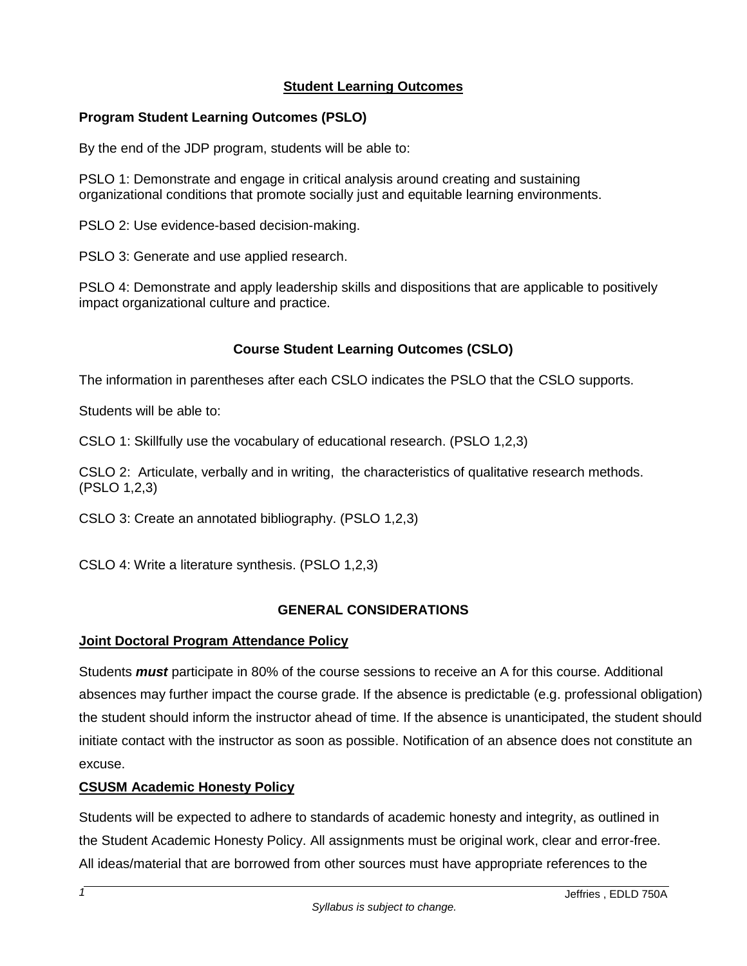## **Student Learning Outcomes**

## **Program Student Learning Outcomes (PSLO)**

By the end of the JDP program, students will be able to:

PSLO 1: Demonstrate and engage in critical analysis around creating and sustaining organizational conditions that promote socially just and equitable learning environments.

PSLO 2: Use evidence-based decision-making.

PSLO 3: Generate and use applied research.

PSLO 4: Demonstrate and apply leadership skills and dispositions that are applicable to positively impact organizational culture and practice.

## **Course Student Learning Outcomes (CSLO)**

The information in parentheses after each CSLO indicates the PSLO that the CSLO supports.

Students will be able to:

CSLO 1: Skillfully use the vocabulary of educational research. (PSLO 1,2,3)

CSLO 2: Articulate, verbally and in writing, the characteristics of qualitative research methods. (PSLO 1,2,3)

CSLO 3: Create an annotated bibliography. (PSLO 1,2,3)

CSLO 4: Write a literature synthesis. (PSLO 1,2,3)

### **GENERAL CONSIDERATIONS**

### **Joint Doctoral Program Attendance Policy**

Students *must* participate in 80% of the course sessions to receive an A for this course. Additional absences may further impact the course grade. If the absence is predictable (e.g. professional obligation) the student should inform the instructor ahead of time. If the absence is unanticipated, the student should initiate contact with the instructor as soon as possible. Notification of an absence does not constitute an excuse.

### **CSUSM Academic Honesty Policy**

Students will be expected to adhere to standards of academic honesty and integrity, as outlined in the Student Academic Honesty Policy. All assignments must be original work, clear and error-free. All ideas/material that are borrowed from other sources must have appropriate references to the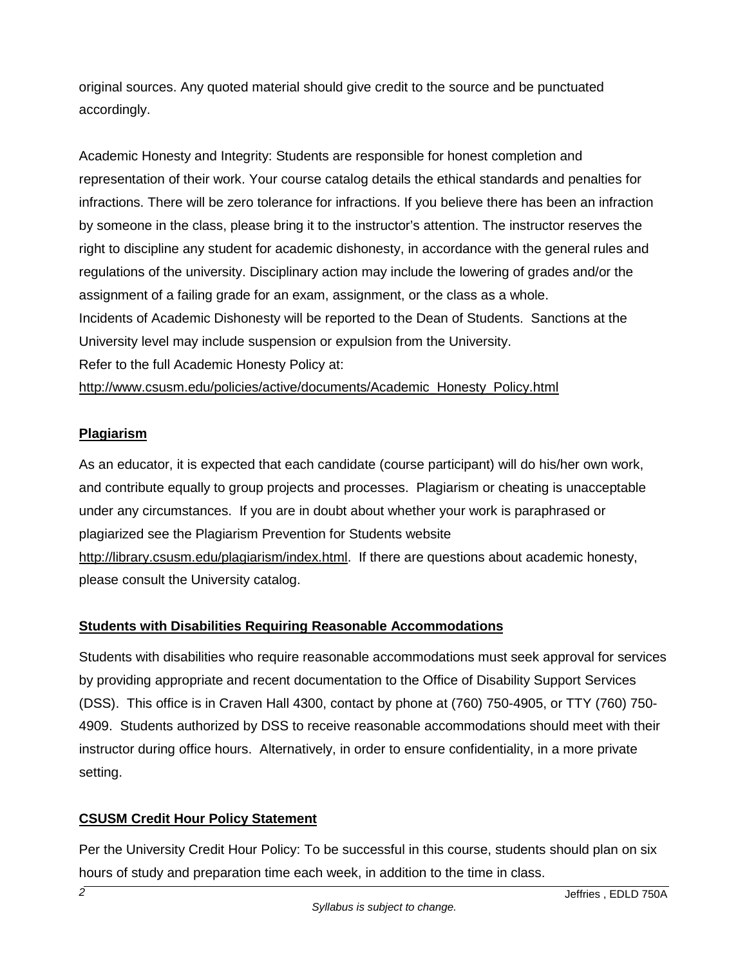original sources. Any quoted material should give credit to the source and be punctuated accordingly.

Academic Honesty and Integrity: Students are responsible for honest completion and representation of their work. Your course catalog details the ethical standards and penalties for infractions. There will be zero tolerance for infractions. If you believe there has been an infraction by someone in the class, please bring it to the instructor's attention. The instructor reserves the right to discipline any student for academic dishonesty, in accordance with the general rules and regulations of the university. Disciplinary action may include the lowering of grades and/or the assignment of a failing grade for an exam, assignment, or the class as a whole. Incidents of Academic Dishonesty will be reported to the Dean of Students. Sanctions at the University level may include suspension or expulsion from the University. Refer to the full Academic Honesty Policy at:

[http://www.csusm.edu/policies/active/documents/Academic\\_Honesty\\_Policy.html](http://www.csusm.edu/policies/active/documents/Academic_Honesty_Policy.html)

# **Plagiarism**

As an educator, it is expected that each candidate (course participant) will do his/her own work, and contribute equally to group projects and processes. Plagiarism or cheating is unacceptable under any circumstances. If you are in doubt about whether your work is paraphrased or plagiarized see the Plagiarism Prevention for Students website [http://library.csusm.edu/plagiarism/index.html.](http://library.csusm.edu/plagiarism/index.html) If there are questions about academic honesty, please consult the University catalog.

# **Students with Disabilities Requiring Reasonable Accommodations**

Students with disabilities who require reasonable accommodations must seek approval for services by providing appropriate and recent documentation to the Office of Disability Support Services (DSS). This office is in Craven Hall 4300, contact by phone at (760) 750-4905, or TTY (760) 750- 4909. Students authorized by DSS to receive reasonable accommodations should meet with their instructor during office hours. Alternatively, in order to ensure confidentiality, in a more private setting.

# **CSUSM Credit Hour Policy Statement**

Per the University Credit Hour Policy: To be successful in this course, students should plan on six hours of study and preparation time each week, in addition to the time in class.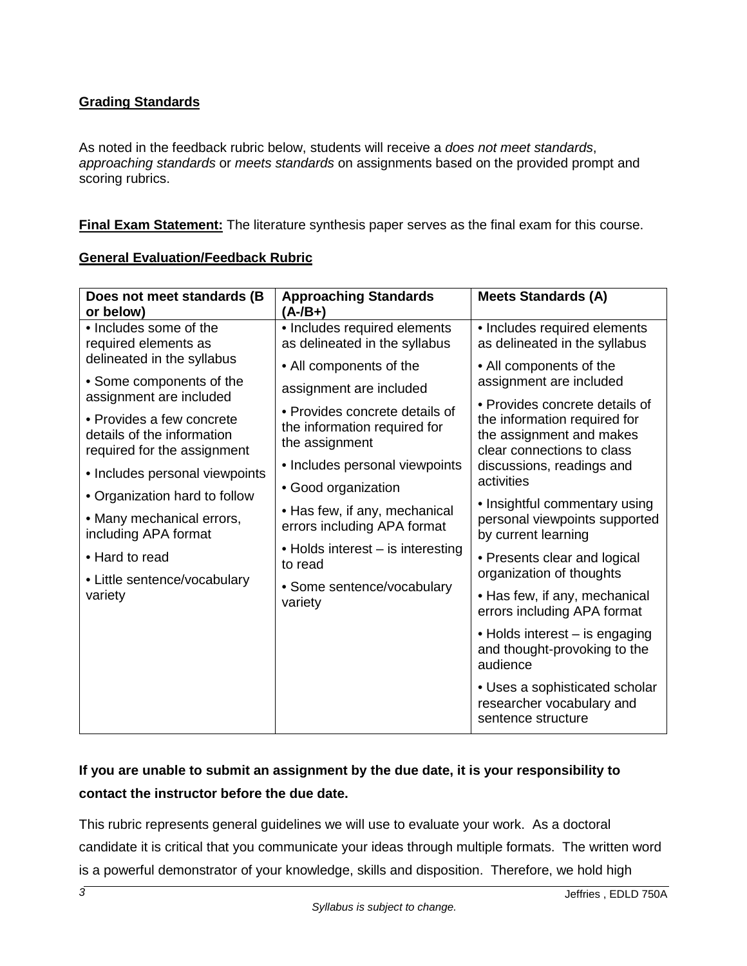# **Grading Standards**

As noted in the feedback rubric below, students will receive a *does not meet standards*, *approaching standards* or *meets standards* on assignments based on the provided prompt and scoring rubrics.

**Final Exam Statement:** The literature synthesis paper serves as the final exam for this course.

### **General Evaluation/Feedback Rubric**

| Does not meet standards (B<br>or below)                                                | <b>Approaching Standards</b><br>$(A - /B + )$                                                                                                         | <b>Meets Standards (A)</b>                                                                                                       |  |
|----------------------------------------------------------------------------------------|-------------------------------------------------------------------------------------------------------------------------------------------------------|----------------------------------------------------------------------------------------------------------------------------------|--|
| • Includes some of the<br>required elements as                                         | • Includes required elements<br>as delineated in the syllabus                                                                                         | • Includes required elements<br>as delineated in the syllabus                                                                    |  |
| delineated in the syllabus<br>• Some components of the                                 | • All components of the                                                                                                                               | • All components of the<br>assignment are included                                                                               |  |
| assignment are included                                                                | assignment are included                                                                                                                               | • Provides concrete details of                                                                                                   |  |
| • Provides a few concrete<br>details of the information<br>required for the assignment | • Provides concrete details of<br>the information required for<br>the assignment                                                                      | the information required for<br>the assignment and makes<br>clear connections to class                                           |  |
| • Includes personal viewpoints                                                         | • Includes personal viewpoints                                                                                                                        | discussions, readings and<br>activities<br>• Insightful commentary using<br>personal viewpoints supported<br>by current learning |  |
| • Organization hard to follow                                                          | • Good organization                                                                                                                                   |                                                                                                                                  |  |
| • Many mechanical errors,<br>including APA format                                      | • Has few, if any, mechanical<br>errors including APA format<br>• Holds interest – is interesting<br>to read<br>• Some sentence/vocabulary<br>variety |                                                                                                                                  |  |
| • Hard to read                                                                         |                                                                                                                                                       | • Presents clear and logical<br>organization of thoughts                                                                         |  |
| • Little sentence/vocabulary<br>variety                                                |                                                                                                                                                       | • Has few, if any, mechanical<br>errors including APA format                                                                     |  |
|                                                                                        |                                                                                                                                                       | • Holds interest – is engaging<br>and thought-provoking to the<br>audience                                                       |  |
|                                                                                        |                                                                                                                                                       | • Uses a sophisticated scholar<br>researcher vocabulary and<br>sentence structure                                                |  |

# **If you are unable to submit an assignment by the due date, it is your responsibility to contact the instructor before the due date.**

This rubric represents general guidelines we will use to evaluate your work. As a doctoral candidate it is critical that you communicate your ideas through multiple formats. The written word is a powerful demonstrator of your knowledge, skills and disposition. Therefore, we hold high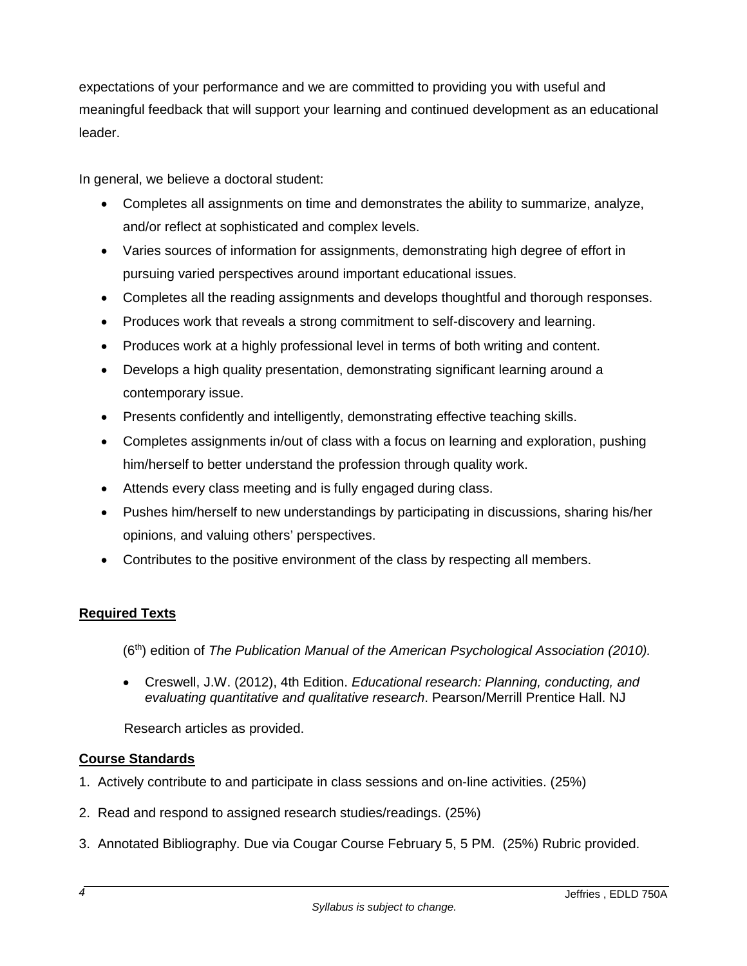expectations of your performance and we are committed to providing you with useful and meaningful feedback that will support your learning and continued development as an educational leader.

In general, we believe a doctoral student:

- Completes all assignments on time and demonstrates the ability to summarize, analyze, and/or reflect at sophisticated and complex levels.
- Varies sources of information for assignments, demonstrating high degree of effort in pursuing varied perspectives around important educational issues.
- Completes all the reading assignments and develops thoughtful and thorough responses.
- Produces work that reveals a strong commitment to self-discovery and learning.
- Produces work at a highly professional level in terms of both writing and content.
- Develops a high quality presentation, demonstrating significant learning around a contemporary issue.
- Presents confidently and intelligently, demonstrating effective teaching skills.
- Completes assignments in/out of class with a focus on learning and exploration, pushing him/herself to better understand the profession through quality work.
- Attends every class meeting and is fully engaged during class.
- Pushes him/herself to new understandings by participating in discussions, sharing his/her opinions, and valuing others' perspectives.
- Contributes to the positive environment of the class by respecting all members.

# **Required Texts**

(6th) edition of *The Publication Manual of the American Psychological Association (2010).*

• Creswell, J.W. (2012), 4th Edition. *Educational research: Planning, conducting, and evaluating quantitative and qualitative research*. Pearson/Merrill Prentice Hall. NJ

Research articles as provided.

# **Course Standards**

- 1. Actively contribute to and participate in class sessions and on-line activities. (25%)
- 2. Read and respond to assigned research studies/readings. (25%)
- 3. Annotated Bibliography. Due via Cougar Course February 5, 5 PM. (25%) Rubric provided.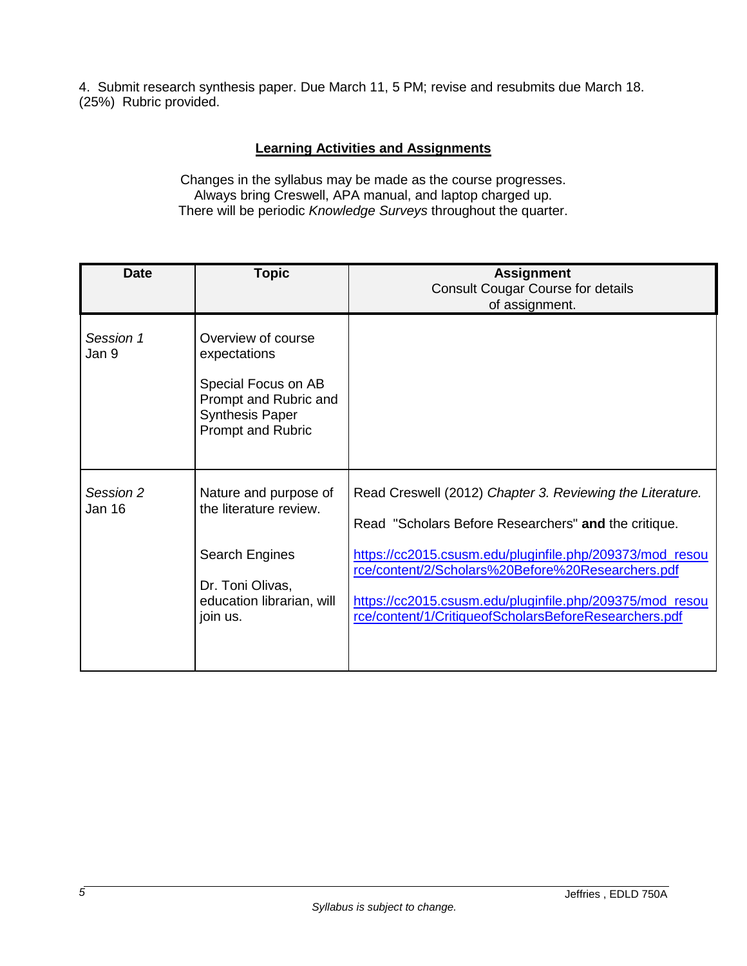4. Submit research synthesis paper. Due March 11, 5 PM; revise and resubmits due March 18. (25%) Rubric provided.

## **Learning Activities and Assignments**

Changes in the syllabus may be made as the course progresses. Always bring Creswell, APA manual, and laptop charged up. There will be periodic *Knowledge Surveys* throughout the quarter.

| <b>Date</b>         | <b>Topic</b>                                                                                                                             | <b>Assignment</b><br><b>Consult Cougar Course for details</b><br>of assignment.                                                                                                                                                                                                                                                                         |
|---------------------|------------------------------------------------------------------------------------------------------------------------------------------|---------------------------------------------------------------------------------------------------------------------------------------------------------------------------------------------------------------------------------------------------------------------------------------------------------------------------------------------------------|
| Session 1<br>Jan 9  | Overview of course<br>expectations<br>Special Focus on AB<br>Prompt and Rubric and<br><b>Synthesis Paper</b><br><b>Prompt and Rubric</b> |                                                                                                                                                                                                                                                                                                                                                         |
| Session 2<br>Jan 16 | Nature and purpose of<br>the literature review.<br>Search Engines<br>Dr. Toni Olivas,<br>education librarian, will<br>join us.           | Read Creswell (2012) Chapter 3. Reviewing the Literature.<br>Read "Scholars Before Researchers" and the critique.<br>https://cc2015.csusm.edu/pluginfile.php/209373/mod_resou<br>rce/content/2/Scholars%20Before%20Researchers.pdf<br>https://cc2015.csusm.edu/pluginfile.php/209375/mod_resou<br>rce/content/1/CritiqueofScholarsBeforeResearchers.pdf |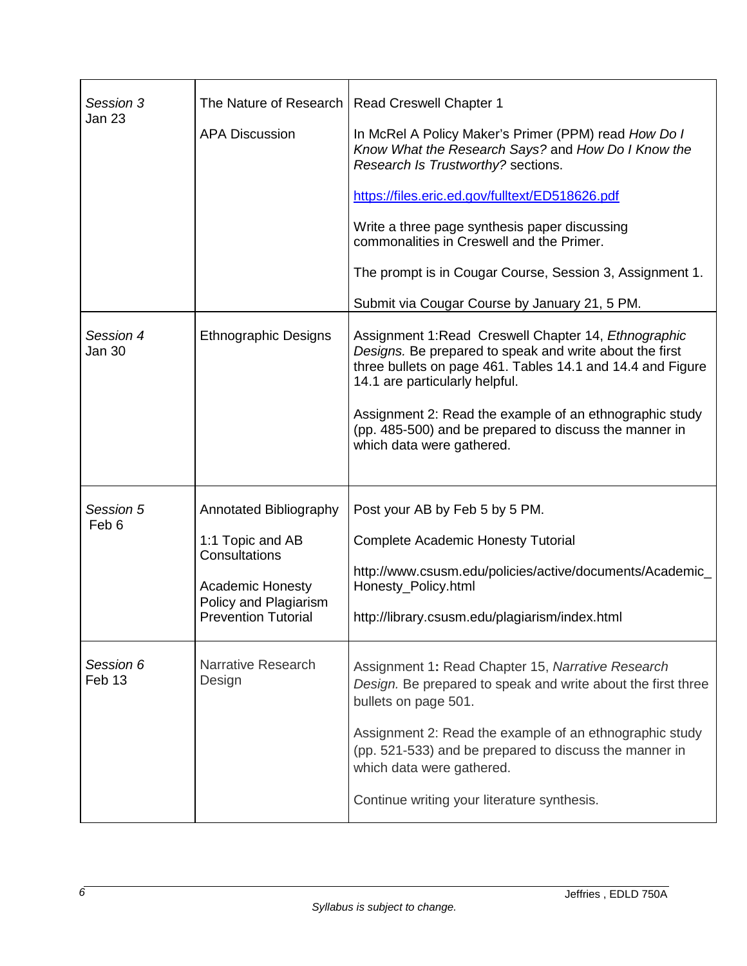| Session 3<br>Jan 23 | <b>APA Discussion</b>                                                                                                                                | The Nature of Research   Read Creswell Chapter 1<br>In McRel A Policy Maker's Primer (PPM) read How Do I<br>Know What the Research Says? and How Do I Know the<br>Research Is Trustworthy? sections.<br>https://files.eric.ed.gov/fulltext/ED518626.pdf<br>Write a three page synthesis paper discussing<br>commonalities in Creswell and the Primer.<br>The prompt is in Cougar Course, Session 3, Assignment 1.<br>Submit via Cougar Course by January 21, 5 PM. |
|---------------------|------------------------------------------------------------------------------------------------------------------------------------------------------|--------------------------------------------------------------------------------------------------------------------------------------------------------------------------------------------------------------------------------------------------------------------------------------------------------------------------------------------------------------------------------------------------------------------------------------------------------------------|
| Session 4<br>Jan 30 | <b>Ethnographic Designs</b>                                                                                                                          | Assignment 1: Read Creswell Chapter 14, Ethnographic<br>Designs. Be prepared to speak and write about the first<br>three bullets on page 461. Tables 14.1 and 14.4 and Figure<br>14.1 are particularly helpful.<br>Assignment 2: Read the example of an ethnographic study<br>(pp. 485-500) and be prepared to discuss the manner in<br>which data were gathered.                                                                                                  |
| Session 5<br>Feb 6  | <b>Annotated Bibliography</b><br>1:1 Topic and AB<br>Consultations<br><b>Academic Honesty</b><br>Policy and Plagiarism<br><b>Prevention Tutorial</b> | Post your AB by Feb 5 by 5 PM.<br><b>Complete Academic Honesty Tutorial</b><br>http://www.csusm.edu/policies/active/documents/Academic_<br>Honesty Policy.html<br>http://library.csusm.edu/plagiarism/index.html                                                                                                                                                                                                                                                   |
| Session 6<br>Feb 13 | Narrative Research<br>Design                                                                                                                         | Assignment 1: Read Chapter 15, Narrative Research<br>Design. Be prepared to speak and write about the first three<br>bullets on page 501.<br>Assignment 2: Read the example of an ethnographic study<br>(pp. 521-533) and be prepared to discuss the manner in<br>which data were gathered.<br>Continue writing your literature synthesis.                                                                                                                         |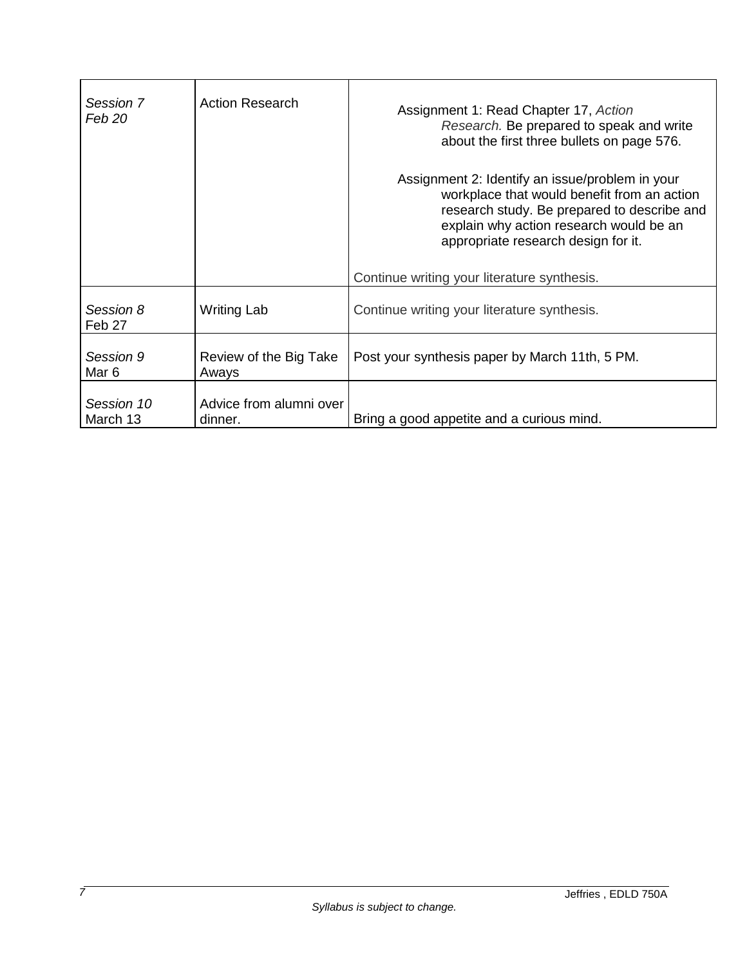| Session 7<br>Feb 20    | <b>Action Research</b>             | Assignment 1: Read Chapter 17, Action<br>Research. Be prepared to speak and write<br>about the first three bullets on page 576.<br>Assignment 2: Identify an issue/problem in your<br>workplace that would benefit from an action<br>research study. Be prepared to describe and<br>explain why action research would be an |
|------------------------|------------------------------------|-----------------------------------------------------------------------------------------------------------------------------------------------------------------------------------------------------------------------------------------------------------------------------------------------------------------------------|
|                        |                                    | appropriate research design for it.<br>Continue writing your literature synthesis.                                                                                                                                                                                                                                          |
| Session 8<br>Feb 27    | Writing Lab                        | Continue writing your literature synthesis.                                                                                                                                                                                                                                                                                 |
| Session 9<br>Mar 6     | Review of the Big Take<br>Aways    | Post your synthesis paper by March 11th, 5 PM.                                                                                                                                                                                                                                                                              |
| Session 10<br>March 13 | Advice from alumni over<br>dinner. | Bring a good appetite and a curious mind.                                                                                                                                                                                                                                                                                   |